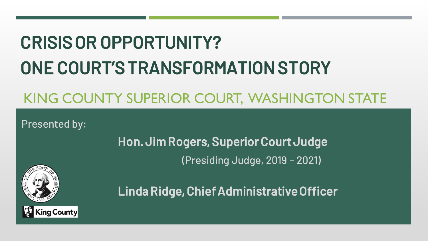# CRISIS OR OPPORTUNITY? ONE COURT'S TRANSFORMATION STORY

# KING COUNTY SUPERIOR COURT, WASHINGTON STATE

Presented by:

Hon. Jim Rogers, Superior Court Judge (Presiding Judge, 2019 – 2021)



Linda Ridge, Chief Administrative Officer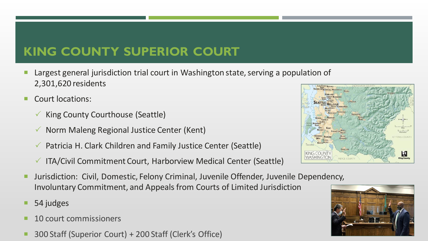# **KING COUNTY SUPERIOR COURT**

- Largest general jurisdiction trial court in Washington state, serving a population of 2,301,620 residents
- Court locations:
	- $\checkmark$  King County Courthouse (Seattle)
	- $\checkmark$  Norm Maleng Regional Justice Center (Kent)
	- $\checkmark$  Patricia H. Clark Children and Family Justice Center (Seattle)
	- $\checkmark$  ITA/Civil Commitment Court, Harborview Medical Center (Seattle)
- **Jurisdiction: Civil, Domestic, Felony Criminal, Juvenile Offender, Juvenile Dependency,** Involuntary Commitment, and Appeals from Courts of Limited Jurisdiction
- 54 judges
- 10 court commissioners
- 300 Staff (Superior Court) + 200 Staff (Clerk's Office)



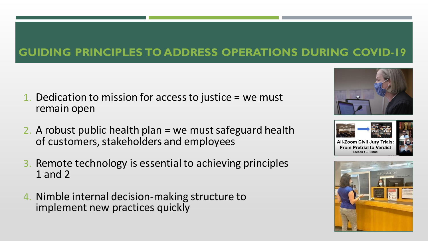#### **GUIDING PRINCIPLES TO ADDRESS OPERATIONS DURING COVID-19**

- 1. Dedication to mission for access to justice = we must remain open
- 2. A robust public health plan = we must safeguard health of customers, stakeholders and employees
- 3. Remote technology is essential to achieving principles 1 and 2
- 4. Nimble internal decision-making structure to implement new practices quickly





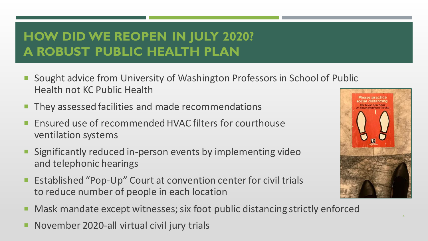# **HOW DID WE REOPEN IN JULY 2020? A ROBUST PUBLIC HEALTH PLAN**

- Sought advice from University of Washington Professors in School of Public Health not KC Public Health
- They assessed facilities and made recommendations
- Ensured use of recommended HVAC filters for courthouse ventilation systems
- Significantly reduced in-person events by implementing video and telephonic hearings
- Established "Pop-Up" Court at convention center for civil trials to reduce number of people in each location
- Mask mandate except witnesses; six foot public distancing strictly enforced
- November 2020-all virtual civil jury trials

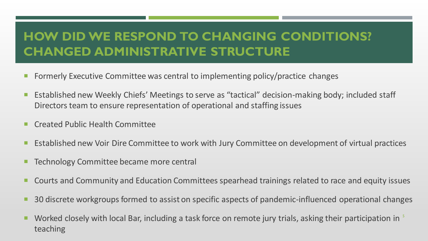# **HOW DID WE RESPOND TO CHANGING CONDITIONS? CHANGED ADMINISTRATIVE STRUCTURE**

- Formerly Executive Committee was central to implementing policy/practice changes
- Established new Weekly Chiefs' Meetings to serve as "tactical" decision-making body; included staff Directors team to ensure representation of operational and staffing issues
- Created Public Health Committee
- **EXTER 10 Established new Voir Dire Committee to work with Jury Committee on development of virtual practices**
- Technology Committee became more central
- **E** Courts and Community and Education Committees spearhead trainings related to race and equity issues
- 30 discrete workgroups formed to assist on specific aspects of pandemic-influenced operational changes
- Worked closely with local Bar, including a task force on remote jury trials, asking their participation in <sup>5</sup> teaching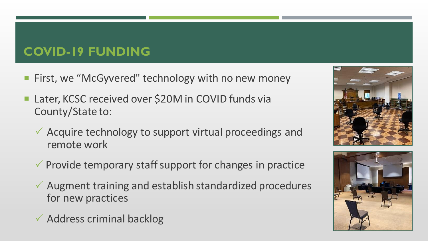# **COVID-19 FUNDING**

- **First, we "McGyvered" technology with no new money**
- Later, KCSC received over \$20M in COVID funds via County/State to:
	- $\checkmark$  Acquire technology to support virtual proceedings and remote work
	- $\checkmark$  Provide temporary staff support for changes in practice
	- $\checkmark$  Augment training and establish standardized procedures for new practices
	- $\checkmark$  Address criminal backlog



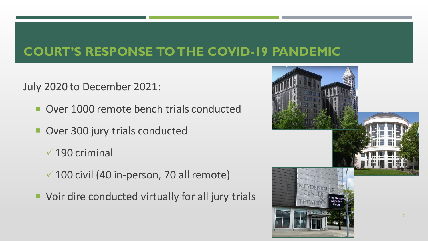### **COURT'S RESPONSE TO THE COVID-19 PANDEMIC**

July 2020 to December 2021:

- Over 1000 remote bench trials conducted
- Over 300 jury trials conducted
	- $\sqrt{190}$  criminal
	- $\sqrt{100}$  civil (40 in-person, 70 all remote)
- Voir dire conducted virtually for all jury trials

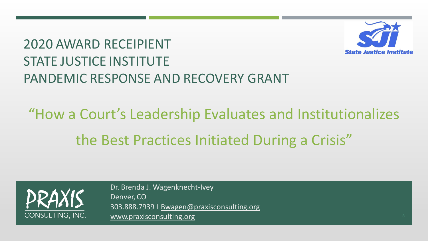

# 2020 AWARD RECEIPIENT STATE JUSTICE INSTITUTE PANDEMIC RESPONSE AND RECOVERY GRANT

# "How a Court's Leadership Evaluates and Institutionalizes the Best Practices Initiated During a Crisis"



Dr. Brenda J. Wagenknecht-Ivey Denver, CO 303.888.7939 I [Bwagen@praxisconsulting.org](mailto:Bwagen@praxisconsulting.org) [www.praxisconsulting.org](http://www.praxisconsulting.org/)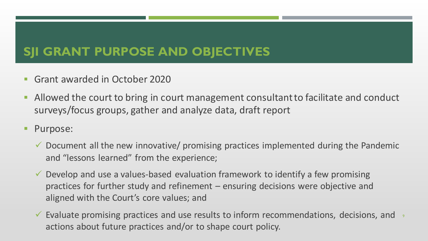# **SJI GRANT PURPOSE AND OBJECTIVES**

- Grant awarded in October 2020
- **EXT** Allowed the court to bring in court management consultant to facilitate and conduct surveys/focus groups, gather and analyze data, draft report
- Purpose:
	- $\checkmark$  Document all the new innovative/ promising practices implemented during the Pandemic and "lessons learned" from the experience;
	- $\checkmark$  Develop and use a values-based evaluation framework to identify a few promising practices for further study and refinement – ensuring decisions were objective and aligned with the Court's core values; and
	- $\checkmark$  Evaluate promising practices and use results to inform recommendations, decisions, and  $\checkmark$ actions about future practices and/or to shape court policy.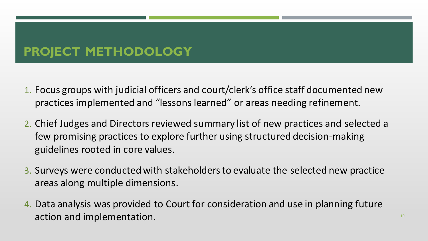# **PROJECT METHODOLOGY**

- 1. Focus groups with judicial officers and court/clerk's office staff documented new practices implemented and "lessons learned" or areas needing refinement.
- 2. Chief Judges and Directors reviewed summary list of new practices and selected a few promising practices to explore further using structured decision-making guidelines rooted in core values.
- 3. Surveys were conducted with stakeholders to evaluate the selected new practice areas along multiple dimensions.
- 4. Data analysis was provided to Court for consideration and use in planning future action and implementation.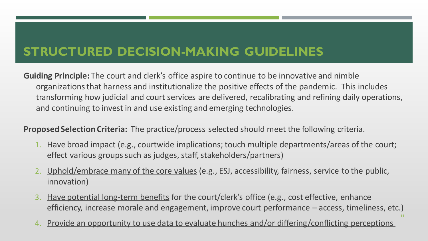# **STRUCTURED DECISION-MAKING GUIDELINES**

**Guiding Principle:** The court and clerk's office aspire to continue to be innovative and nimble organizations that harness and institutionalize the positive effects of the pandemic. This includes transforming how judicial and court services are delivered, recalibrating and refining daily operations, and continuing to invest in and use existing and emerging technologies.

**Proposed Selection Criteria:** The practice/process selected should meet the following criteria.

- 1. Have broad impact (e.g., courtwide implications; touch multiple departments/areas of the court; effect various groups such as judges, staff, stakeholders/partners)
- 2. Uphold/embrace many of the core values (e.g., ESJ, accessibility, fairness, service to the public, innovation)
- 3. Have potential long-term benefits for the court/clerk's office (e.g., cost effective, enhance efficiency, increase morale and engagement, improve court performance – access, timeliness, etc.)

11

4. Provide an opportunity to use data to evaluate hunches and/or differing/conflicting perceptions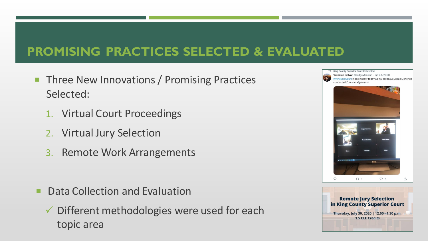# **PROMISING PRACTICES SELECTED & EVALUATED**

- Three New Innovations / Promising Practices Selected:
	- 1. Virtual Court Proceedings
	- 2. Virtual Jury Selection
	- 3. Remote Work Arrangements

- **Data Collection and Evaluation** 
	- ✓ Different methodologies were used for each topic area



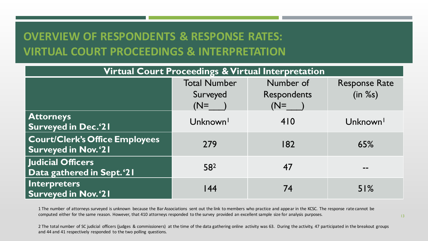### **OVERVIEW OF RESPONDENTS & RESPONSE RATES: VIRTUAL COURT PROCEEDINGS & INTERPRETATION**

| Virtual Court Proceedings & Virtual Interpretation                  |                      |             |                      |  |
|---------------------------------------------------------------------|----------------------|-------------|----------------------|--|
|                                                                     | <b>Total Number</b>  | Number of   | <b>Response Rate</b> |  |
|                                                                     | Surveyed             | Respondents | (in %s)              |  |
|                                                                     | $(N=$                | $(N=$       |                      |  |
| <b>Attorneys</b><br>Surveyed in Dec.'21                             | Unknown <sup>1</sup> | 410         | Unknown <sup>1</sup> |  |
| <b>Court/Clerk's Office Employees</b><br><b>Surveyed in Nov.'21</b> | 279                  | 182         | 65%                  |  |
| <b>Judicial Officers</b><br>Data gathered in Sept.'21               | 582                  | 47          | --                   |  |
| Interpreters<br><b>Surveyed in Nov.'21</b>                          | 44                   | 74          | 51%                  |  |

1 The number of attorneys surveyed is unknown because the Bar Associations sent out the link to members who practice and appear in the KCSC. The response rate cannot be computed either for the same reason. However, that 410 attorneys responded to the survey provided an excellent sample size for analysis purposes.

2 The total number of SC judicial officers (judges & commissioners) at the time of the data gathering online activity was 63. During the activity, 47 participated in the breakout groups and 44 and 41 respectively responded to the two polling questions.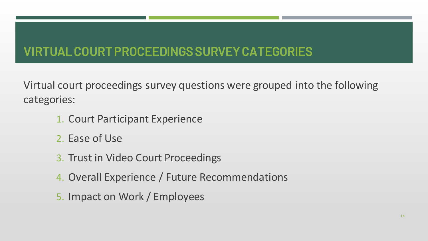# VIRTUAL COURT PROCEEDINGS SURVEY CATEGORIES

Virtual court proceedings survey questions were grouped into the following categories:

- 1. Court Participant Experience
- 2. Ease of Use
- 3. Trust in Video Court Proceedings
- 4. Overall Experience / Future Recommendations
- 5. Impact on Work / Employees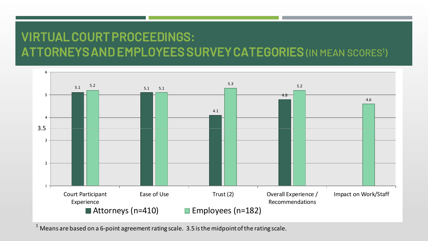# VIRTUAL COURT PROCEEDINGS: ATTORNEYS AND EMPLOYEES SURVEY CATEGORIES (IN MEAN SCORES<sup>1</sup>)



Means are based on a 6-point agreement rating scale. 3.5 is the midpoint of the rating scale.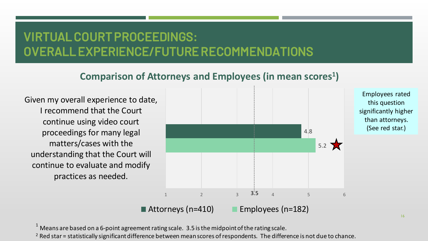# VIRTUAL COURT PROCEEDINGS: OVERALL EXPERIENCE/FUTURE RECOMMENDATIONS

#### **Comparison of Attorneys and Employees (in mean scores<sup>1</sup> )**

Given my overall experience to date, I recommend that the Court continue using video court proceedings for many legal matters/cases with the understanding that the Court will continue to evaluate and modify practices as needed.



 $1$  Means are based on a 6-point agreement rating scale. 3.5 is the midpoint of the rating scale.

 $2$  Red star = statistically significant difference between mean scores of respondents. The difference is not due to chance.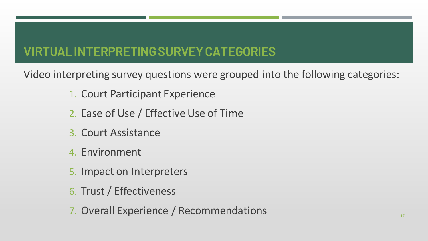# VIRTUAL INTERPRETING SURVEY CATEGORIES

Video interpreting survey questions were grouped into the following categories:

- 1. Court Participant Experience
- 2. Ease of Use / Effective Use of Time
- 3. Court Assistance
- 4. Environment
- 5. Impact on Interpreters
- 6. Trust / Effectiveness
- 7. Overall Experience / Recommendations 17. Overall Experience / Recommendations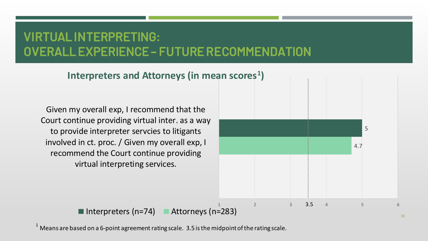## VIRTUAL INTERPRETING: OVERALL EXPERIENCE – FUTURE RECOMMENDATION

5 4.7 1 2 3 3.5 4 5 6 Given my overall exp, I recommend that the Court continue providing virtual inter. as a way to provide interpreter servcies to litigants involved in ct. proc. / Given my overall exp, I recommend the Court continue providing 3.5 **Interpreters and Attorneys (in mean scores<sup>1</sup> )**

Interpreters (n=74) Attorneys (n=283)

virtual interpreting services.

Means are based on a 6-point agreement rating scale. 3.5 is the midpoint of the rating scale.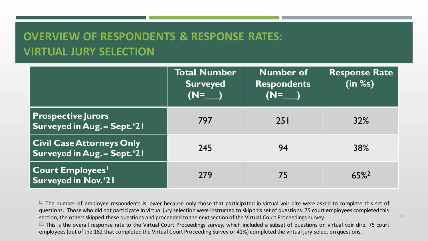### **OVERVIEW OF RESPONDENTS & RESPONSE RATES: VIRTUAL JURY SELECTION**

|                                                                 | Total Number<br><b>Surveyed</b><br>$(N=$ | <b>Number of</b><br><b>Respondents</b><br>$(N=$ | <b>Response Rate</b><br>(in %s) |
|-----------------------------------------------------------------|------------------------------------------|-------------------------------------------------|---------------------------------|
| <b>Prospective Jurors</b><br>Surveyed in Aug. - Sept.'21        | 797                                      | <b>251</b>                                      | 32%                             |
| <b>Civil Case Attorneys Only</b><br>Surveyed in Aug. - Sept.'21 | 245                                      | 94                                              | 38%                             |
| <b>Court Employees</b><br>Surveyed in Nov.'21                   | 279                                      | 75                                              | $65\%$ <sup>2</sup>             |

 $11$  The number of employee respondents is lower because only those that participated in virtual voir dire were asked to complete this set of questions. Those who did not participate in virtual jury selection were instructed to skip this set of questions. 75 court employees completed this section; the others skipped these questions and proceeded to the next section of the Virtual Court Proceedings survey.

<sup>[2]</sup> This is the overall response rate to the Virtual Court Proceedings survey, which included a subset of questions on virtual voir dire. 75 court employees(out of the 182 that completed the Virtual Court Proceeding Survey or 41%) completed the virtual jury selection questions.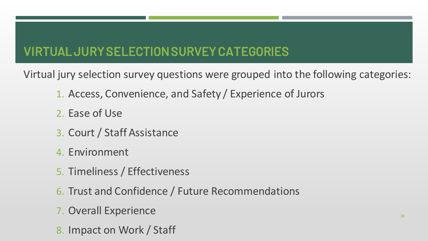# VIRTUAL JURY SELECTION SURVEY CATEGORIES

Virtual jury selection survey questions were grouped into the following categories:

- 1. Access, Convenience, and Safety / Experience of Jurors
- 2. Ease of Use
- 3. Court / Staff Assistance
- 4. Environment
- 5. Timeliness / Effectiveness
- 6. Trust and Confidence / Future Recommendations
- 7. Overall Experience
- 8. Impact on Work / Staff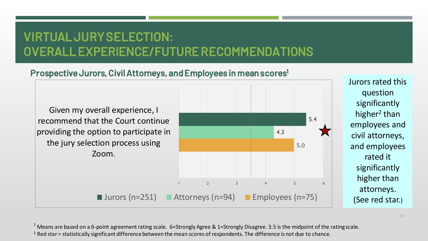# VIRTUAL JURY SELECTION: OVERALL EXPERIENCE/FUTURE RECOMMENDATIONS

#### Prospective Jurors, Civil Attorneys, and Employees in mean scores<sup>1</sup>

Given my overall experience, I recommend that the Court continue providing the option to participate in the jury selection process using Zoom.



Jurors rated this question significantly higher<sup>2</sup> than employees and civil attorneys, and employees rated it significantly higher than attorneys. (See red star.)

 $1$  Means are based on a 6-point agreement rating scale. 6=Strongly Agree & 1=Strongly Disagree. 3.5 is the midpoint of the rating scale. <sup>2</sup> Red star = statistically significant difference between the mean scores of respondents. The difference is not due to chance.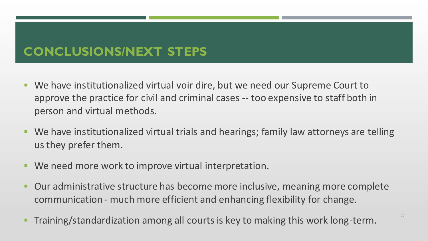# **CONCLUSIONS/NEXT STEPS**

- We have institutionalized virtual voir dire, but we need our Supreme Court to approve the practice for civil and criminal cases -- too expensive to staff both in person and virtual methods.
- We have institutionalized virtual trials and hearings; family law attorneys are telling us they prefer them.
- We need more work to improve virtual interpretation.
- Our administrative structure has become more inclusive, meaning more complete communication - much more efficient and enhancing flexibility for change.
- Training/standardization among all courts is key to making this work long-term.  $22$